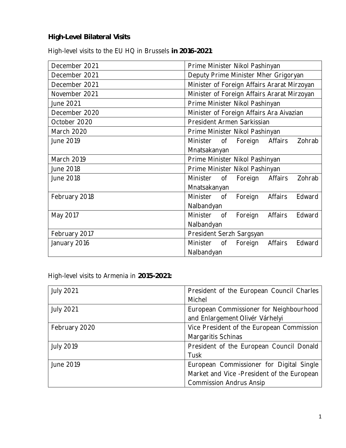**High-Level Bilateral Visits**

High-level visits to the EU HQ in Brussels **in 2016-2021**:

| December 2021     | Prime Minister Nikol Pashinyan                         |
|-------------------|--------------------------------------------------------|
| December 2021     | Deputy Prime Minister Mher Grigoryan                   |
| December 2021     | Minister of Foreign Affairs Ararat Mirzoyan            |
| November 2021     | Minister of Foreign Affairs Ararat Mirzoyan            |
| June 2021         | Prime Minister Nikol Pashinyan                         |
| December 2020     | Minister of Foreign Affairs Ara Aivazian               |
| October 2020      | President Armen Sarkissian                             |
| March 2020        | Prime Minister Nikol Pashinyan                         |
| June 2019         | Minister<br>Foreign<br>Affairs<br>Zohrab<br>$\circ$ of |
|                   | Mnatsakanyan                                           |
| <b>March 2019</b> | Prime Minister Nikol Pashinyan                         |
| June 2018         | Prime Minister Nikol Pashinyan                         |
| June 2018         | Minister<br>Foreign<br>Affairs<br>Zohrab<br>$\circ$ of |
|                   | Mnatsakanyan                                           |
| February 2018     | Edward<br>Minister of<br>Foreign<br>Affairs            |
|                   | Nalbandyan                                             |
| May 2017          | Edward<br>Minister<br>Foreign<br>Affairs<br>of         |
|                   | Nalbandyan                                             |
| February 2017     | President Serzh Sargsyan                               |
| January 2016      | Minister of<br>Foreign<br>Affairs<br>Edward            |
|                   | Nalbandyan                                             |

High-level visits to Armenia in **2015-2021:** 

| <b>July 2021</b> | President of the European Council Charles  |
|------------------|--------------------------------------------|
|                  | Michel                                     |
| <b>July 2021</b> | European Commissioner for Neighbourhood    |
|                  | and Enlargement Olivér Várhelyi            |
| February 2020    | Vice President of the European Commission  |
|                  | Margaritis Schinas                         |
| <b>July 2019</b> | President of the European Council Donald   |
|                  | Tusk                                       |
| June 2019        | European Commissioner for Digital Single   |
|                  | Market and Vice -President of the European |
|                  | <b>Commission Andrus Ansip</b>             |